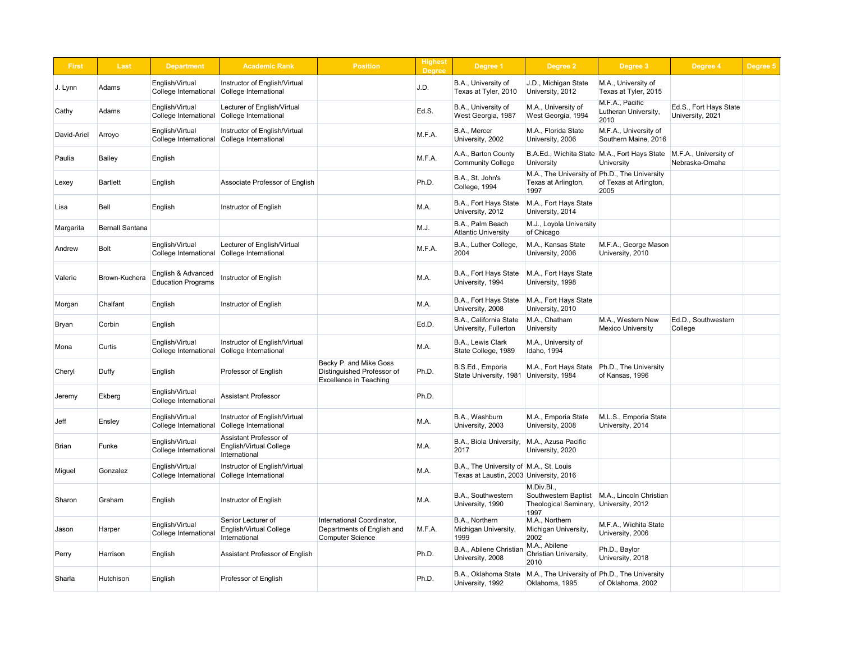| <b>First</b> | <b>Last</b>            | <b>Department</b>                               | <b>Academic Rank</b>                                               | <b>Position</b>                                                                       | <b>Highest</b><br><b>Degree</b> | <b>Degree 1</b>                                                                    | Degree 2                                                                               | Degree 3                                                     | Degree 4                                   | Degree 5 |
|--------------|------------------------|-------------------------------------------------|--------------------------------------------------------------------|---------------------------------------------------------------------------------------|---------------------------------|------------------------------------------------------------------------------------|----------------------------------------------------------------------------------------|--------------------------------------------------------------|--------------------------------------------|----------|
| J. Lynn      | Adams                  | English/Virtual<br>College International        | Instructor of English/Virtual<br>College International             |                                                                                       | J.D.                            | B.A., University of<br>Texas at Tyler, 2010                                        | J.D., Michigan State<br>University, 2012                                               | M.A., University of<br>Texas at Tyler, 2015                  |                                            |          |
| Cathy        | Adams                  | English/Virtual<br>College International        | Lecturer of English/Virtual<br>College International               |                                                                                       | Ed.S.                           | B.A., University of<br>West Georgia, 1987                                          | M.A., University of<br>West Georgia, 1994                                              | M.F.A., Pacific<br>Lutheran University,<br>2010              | Ed.S., Fort Hays State<br>University, 2021 |          |
| David-Ariel  | Arroyo                 | English/Virtual<br>College International        | Instructor of English/Virtual<br>College International             |                                                                                       | M.F.A.                          | B.A., Mercer<br>University, 2002                                                   | M.A., Florida State<br>University, 2006                                                | M.F.A., University of<br>Southern Maine, 2016                |                                            |          |
| Paulia       | Bailey                 | English                                         |                                                                    |                                                                                       | M.F.A.                          | A.A., Barton County<br><b>Community College</b>                                    | University                                                                             | B.A.Ed., Wichita State   M.A., Fort Hays State<br>University | M.F.A., University of<br>Nebraska-Omaha    |          |
| Lexey        | <b>Bartlett</b>        | English                                         | Associate Professor of English                                     |                                                                                       | Ph.D.                           | B.A., St. John's<br>College, 1994                                                  | M.A., The University of Ph.D., The University<br>Texas at Arlington,<br>1997           | of Texas at Arlington,<br>2005                               |                                            |          |
| Lisa         | <b>Bell</b>            | English                                         | Instructor of English                                              |                                                                                       | M.A.                            | B.A., Fort Hays State<br>University, 2012                                          | M.A., Fort Hays State<br>University, 2014                                              |                                                              |                                            |          |
| Margarita    | <b>Bernall Santana</b> |                                                 |                                                                    |                                                                                       | M.J.                            | B.A., Palm Beach<br><b>Atlantic University</b>                                     | M.J., Loyola University<br>of Chicago                                                  |                                                              |                                            |          |
| Andrew       | <b>Bolt</b>            | English/Virtual<br>College International        | Lecturer of English/Virtual<br>College International               |                                                                                       | M.F.A.                          | B.A., Luther College,<br>2004                                                      | M.A., Kansas State<br>University, 2006                                                 | M.F.A., George Mason<br>University, 2010                     |                                            |          |
| Valerie      | Brown-Kuchera          | English & Advanced<br><b>Education Programs</b> | Instructor of English                                              |                                                                                       | M.A.                            | B.A., Fort Hays State<br>University, 1994                                          | M.A., Fort Hays State<br>University, 1998                                              |                                                              |                                            |          |
| Morgan       | Chalfant               | English                                         | Instructor of English                                              |                                                                                       | M.A.                            | B.A., Fort Hays State<br>University, 2008                                          | M.A., Fort Hays State<br>University, 2010                                              |                                                              |                                            |          |
| Bryan        | Corbin                 | English                                         |                                                                    |                                                                                       | Ed.D.                           | B.A., California State<br>University, Fullerton                                    | M.A., Chatham<br><b>University</b>                                                     | M.A., Western New<br><b>Mexico University</b>                | Ed.D., Southwestern<br>College             |          |
| Mona         | Curtis                 | English/Virtual<br>College International        | Instructor of English/Virtual<br>College International             |                                                                                       | M.A.                            | B.A., Lewis Clark<br>State College, 1989                                           | M.A., University of<br>Idaho, 1994                                                     |                                                              |                                            |          |
| Cheryl       | Duffy                  | English                                         | Professor of English                                               | Becky P. and Mike Goss<br>Distinguished Professor of<br><b>Excellence in Teaching</b> | Ph.D.                           | B.S.Ed., Emporia<br>State University, 1981                                         | M.A., Fort Hays State<br>University, 1984                                              | Ph.D., The University<br>of Kansas, 1996                     |                                            |          |
| Jeremy       | Ekberg                 | English/Virtual<br>College International        | <b>Assistant Professor</b>                                         |                                                                                       | Ph.D.                           |                                                                                    |                                                                                        |                                                              |                                            |          |
| <b>Jeff</b>  | Ensley                 | English/Virtual<br>College International        | Instructor of English/Virtual<br>College International             |                                                                                       | M.A.                            | B.A., Washburn<br>University, 2003                                                 | M.A., Emporia State<br>University, 2008                                                | M.L.S., Emporia State<br>University, 2014                    |                                            |          |
| Brian        | Funke                  | English/Virtual<br><b>College International</b> | Assistant Professor of<br>English/Virtual College<br>International |                                                                                       | M.A.                            | B.A., Biola University,<br>2017                                                    | M.A., Azusa Pacific<br>University, 2020                                                |                                                              |                                            |          |
| Miguel       | Gonzalez               | English/Virtual<br>College International        | Instructor of English/Virtual<br>College International             |                                                                                       | M.A.                            | B.A., The University of M.A., St. Louis<br>Texas at Laustin, 2003 University, 2016 |                                                                                        |                                                              |                                            |          |
| Sharon       | Graham                 | English                                         | Instructor of English                                              |                                                                                       | M.A.                            | B.A., Southwestern<br>University, 1990                                             | M.Div.Bl.,<br>Theological Seminary, University, 2012<br>1997                           | Southwestern Baptist   M.A., Lincoln Christian               |                                            |          |
| Jason        | Harper                 | English/Virtual<br>College International        | Senior Lecturer of<br>English/Virtual College<br>International     | International Coordinator,<br>Departments of English and<br><b>Computer Science</b>   | M.F.A.                          | B.A., Northern<br>Michigan University,<br>1999                                     | M.A., Northern<br>Michigan University,<br>2002                                         | M.F.A., Wichita State<br>University, 2006                    |                                            |          |
| Perry        | Harrison               | English                                         | <b>Assistant Professor of English</b>                              |                                                                                       | Ph.D.                           | B.A., Abilene Christian<br>University, 2008                                        | M.A., Abilene<br><b>Christian University,</b><br>2010                                  | Ph.D., Baylor<br>University, 2018                            |                                            |          |
| Sharla       | Hutchison              | English                                         | Professor of English                                               |                                                                                       | Ph.D.                           | University, 1992                                                                   | B.A., Oklahoma State   M.A., The University of Ph.D., The University<br>Oklahoma, 1995 | of Oklahoma, 2002                                            |                                            |          |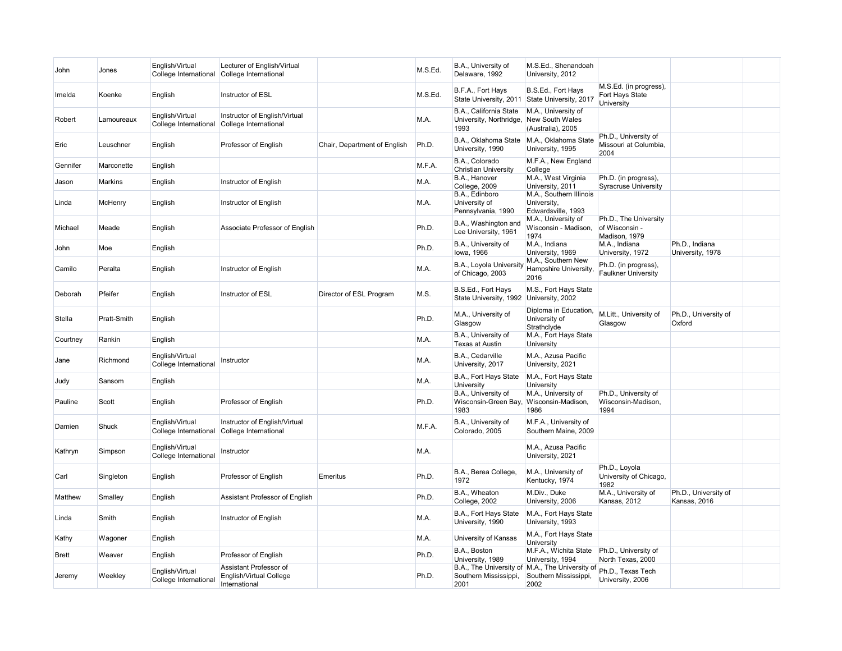| John          | Jones          | English/Virtual<br>College International | Lecturer of English/Virtual<br>College International                      |                              | M.S.Ed. | B.A., University of<br>Delaware, 1992                     | M.S.Ed., Shenandoah<br>University, 2012                                          |                                                                |                                      |  |
|---------------|----------------|------------------------------------------|---------------------------------------------------------------------------|------------------------------|---------|-----------------------------------------------------------|----------------------------------------------------------------------------------|----------------------------------------------------------------|--------------------------------------|--|
| Imelda        | Koenke         | English                                  | Instructor of ESL                                                         |                              | M.S.Ed. | B.F.A., Fort Hays<br>State University, 2011               | B.S.Ed., Fort Hays<br>State University, 2017                                     | M.S.Ed. (in progress),<br>Fort Hays State<br><b>University</b> |                                      |  |
| Robert        | Lamoureaux     | English/Virtual<br>College International | Instructor of English/Virtual<br>College International                    |                              | M.A.    | B.A., California State<br>University, Northridge,<br>1993 | M.A., University of<br>New South Wales<br>(Australia), 2005                      |                                                                |                                      |  |
| Eric          | Leuschner      | English                                  | Professor of English                                                      | Chair, Department of English | Ph.D.   | B.A., Oklahoma State<br>University, 1990                  | M.A., Oklahoma State<br>University, 1995                                         | Ph.D., University of<br>Missouri at Columbia,<br>2004          |                                      |  |
| Gennifer      | Marconette     | English                                  |                                                                           |                              | M.F.A.  | B.A., Colorado<br><b>Christian University</b>             | M.F.A., New England<br>College                                                   |                                                                |                                      |  |
| Jason         | Markins        | English                                  | Instructor of English                                                     |                              | M.A.    | B.A., Hanover<br>College, 2009                            | M.A., West Virginia<br>University, 2011                                          | Ph.D. (in progress),<br>Syracruse University                   |                                      |  |
| Linda         | McHenry        | English                                  | Instructor of English                                                     |                              | M.A.    | B.A., Edinboro<br>University of<br>Pennsylvania, 1990     | M.A., Southern Illinois<br>University,<br>Edwardsville, 1993                     |                                                                |                                      |  |
| Michael       | Meade          | English                                  | Associate Professor of English                                            |                              | Ph.D.   | B.A., Washington and<br>Lee University, 1961              | M.A., University of<br>Wisconsin - Madison,<br>1974                              | Ph.D., The University<br>of Wisconsin -<br>Madison, 1979       |                                      |  |
| John          | Moe            | English                                  |                                                                           |                              | Ph.D.   | B.A., University of<br>lowa, 1966                         | M.A., Indiana<br>University, 1969                                                | M.A., Indiana<br>University, 1972                              | Ph.D., Indiana<br>University, 1978   |  |
| Camilo        | Peralta        | English                                  | Instructor of English                                                     |                              | M.A.    | B.A., Loyola University<br>of Chicago, 2003               | M.A., Southern New<br>Hampshire University,<br>2016                              | Ph.D. (in progress),<br><b>Faulkner University</b>             |                                      |  |
| Deborah       | Pfeifer        | English                                  | Instructor of ESL                                                         | Director of ESL Program      | M.S.    | B.S.Ed., Fort Hays<br>State University, 1992              | M.S., Fort Hays State<br>University, 2002                                        |                                                                |                                      |  |
| <b>Stella</b> | Pratt-Smith    | English                                  |                                                                           |                              | Ph.D.   | M.A., University of<br>Glasgow                            | Diploma in Education,<br>University of<br>Strathclyde                            | M.Litt., University of Ph.D., University of<br>Glasgow         | <b>Oxford</b>                        |  |
| Courtney      | Rankin         | English                                  |                                                                           |                              | M.A.    | B.A., University of<br><b>Texas at Austin</b>             | M.A., Fort Hays State<br><b>University</b>                                       |                                                                |                                      |  |
| Jane          | Richmond       | English/Virtual<br>College International | Instructor                                                                |                              | M.A.    | B.A., Cedarville<br>University, 2017                      | M.A., Azusa Pacific<br>University, 2021                                          |                                                                |                                      |  |
| Judy          | Sansom         | English                                  |                                                                           |                              | M.A.    | B.A., Fort Hays State<br>University                       | M.A., Fort Hays State<br>University                                              |                                                                |                                      |  |
| Pauline       | Scott          | English                                  | Professor of English                                                      |                              | Ph.D.   | B.A., University of<br>Wisconsin-Green Bay,<br>1983       | M.A., University of<br>Wisconsin-Madison,<br>1986                                | Ph.D., University of<br>Wisconsin-Madison,<br>1994             |                                      |  |
| Damien        | Shuck          | English/Virtual<br>College International | Instructor of English/Virtual<br>College International                    |                              | M.F.A.  | B.A., University of<br>Colorado, 2005                     | M.F.A., University of<br>Southern Maine, 2009                                    |                                                                |                                      |  |
| Kathryn       | Simpson        | English/Virtual<br>College International | Instructor                                                                |                              | M.A.    |                                                           | M.A., Azusa Pacific<br>University, 2021                                          |                                                                |                                      |  |
| Carl          | Singleton      | English                                  | Professor of English                                                      | Emeritus                     | Ph.D.   | B.A., Berea College,<br>1972                              | M.A., University of<br>Kentucky, 1974                                            | Ph.D., Loyola<br>University of Chicago,<br>1982                |                                      |  |
| Matthew       | <b>Smalley</b> | English                                  | Assistant Professor of English                                            |                              | Ph.D.   | B.A., Wheaton<br>College, 2002                            | M.Div., Duke<br>University, 2006                                                 | M.A., University of<br>Kansas, 2012                            | Ph.D., University of<br>Kansas, 2016 |  |
| Linda         | Smith          | English                                  | Instructor of English                                                     |                              | M.A.    | B.A., Fort Hays State<br>University, 1990                 | M.A., Fort Hays State<br>University, 1993                                        |                                                                |                                      |  |
| Kathy         | Wagoner        | English                                  |                                                                           |                              | M.A.    | University of Kansas                                      | M.A., Fort Hays State<br>University                                              |                                                                |                                      |  |
| <b>Brett</b>  | Weaver         | English                                  | Professor of English                                                      |                              | Ph.D.   | B.A., Boston<br>University, 1989                          | M.F.A., Wichita State   Ph.D., University of<br>University, 1994                 | North Texas, 2000                                              |                                      |  |
| Jeremy        | Weekley        | English/Virtual<br>College International | Assistant Professor of<br><b>English/Virtual College</b><br>International |                              | Ph.D.   | Southern Mississippi,<br>2001                             | B.A., The University of M.A., The University of<br>Southern Mississippi,<br>2002 | Ph.D., Texas Tech<br>University, 2006                          |                                      |  |